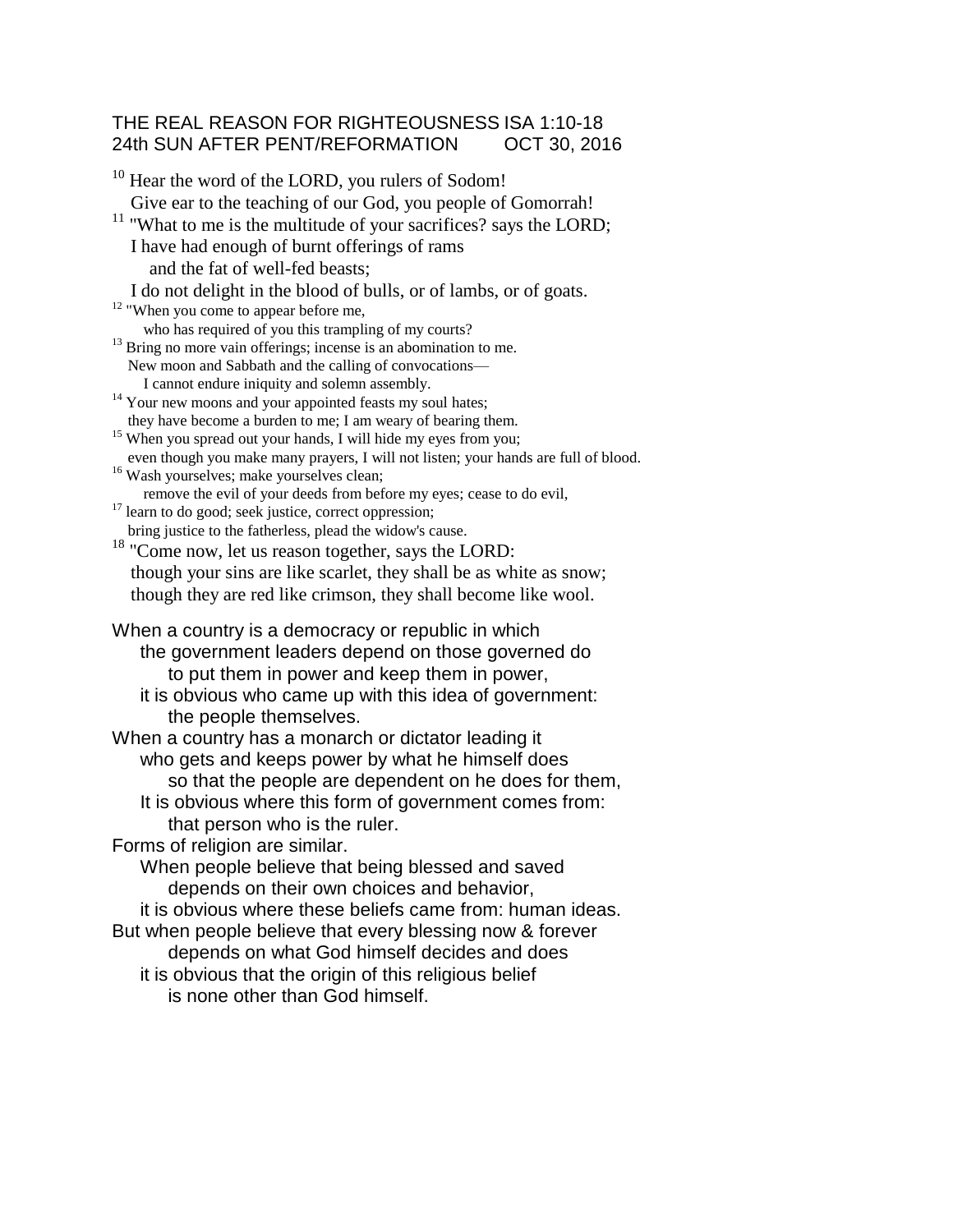### THE REAL REASON FOR RIGHTEOUSNESS ISA 1:10-18 24th SUN AFTER PENT/REFORMATION OCT 30, 2016

 $10$  Hear the word of the LORD, you rulers of Sodom! Give ear to the teaching of our God, you people of Gomorrah!  $11$  "What to me is the multitude of your sacrifices? says the LORD; I have had enough of burnt offerings of rams and the fat of well-fed beasts; I do not delight in the blood of bulls, or of lambs, or of goats.  $12$  "When you come to appear before me, who has required of you this trampling of my courts?  $13$  Bring no more vain offerings; incense is an abomination to me. New moon and Sabbath and the calling of convocations— I cannot endure iniquity and solemn assembly. <sup>14</sup> Your new moons and your appointed feasts my soul hates; they have become a burden to me; I am weary of bearing them. <sup>15</sup> When you spread out your hands, I will hide my eyes from you; even though you make many prayers, I will not listen; your hands are full of blood. <sup>16</sup> Wash yourselves; make yourselves clean; remove the evil of your deeds from before my eyes; cease to do evil,  $17$  learn to do good; seek justice, correct oppression; bring justice to the fatherless, plead the widow's cause. <sup>18</sup> "Come now, let us reason together, says the LORD: though your sins are like scarlet, they shall be as white as snow; though they are red like crimson, they shall become like wool. When a country is a democracy or republic in which the government leaders depend on those governed do to put them in power and keep them in power, it is obvious who came up with this idea of government: the people themselves. When a country has a monarch or dictator leading it who gets and keeps power by what he himself does so that the people are dependent on he does for them, It is obvious where this form of government comes from: that person who is the ruler. Forms of religion are similar. When people believe that being blessed and saved depends on their own choices and behavior, it is obvious where these beliefs came from: human ideas. But when people believe that every blessing now & forever depends on what God himself decides and does it is obvious that the origin of this religious belief is none other than God himself.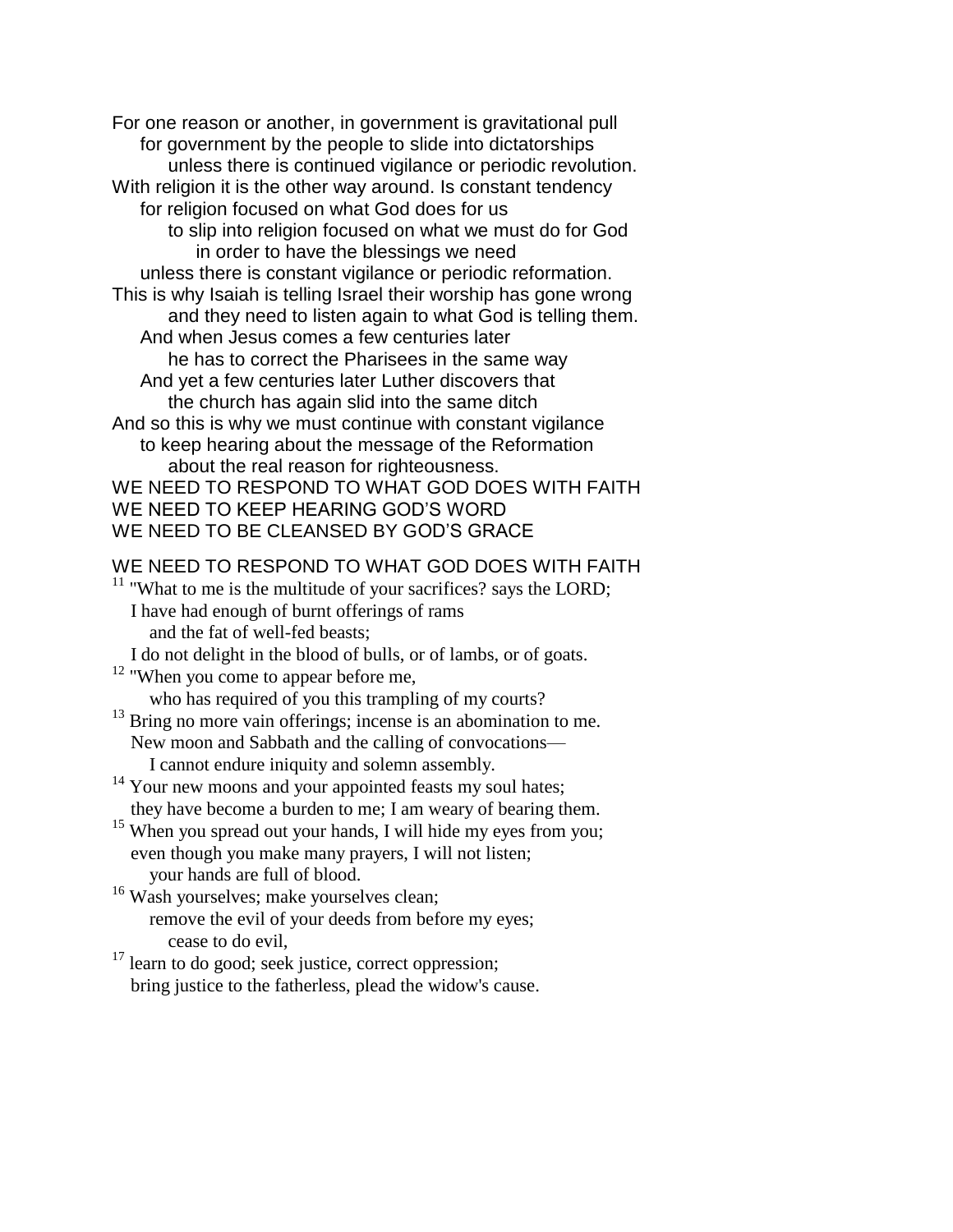For one reason or another, in government is gravitational pull for government by the people to slide into dictatorships unless there is continued vigilance or periodic revolution. With religion it is the other way around. Is constant tendency for religion focused on what God does for us to slip into religion focused on what we must do for God in order to have the blessings we need unless there is constant vigilance or periodic reformation. This is why Isaiah is telling Israel their worship has gone wrong and they need to listen again to what God is telling them. And when Jesus comes a few centuries later he has to correct the Pharisees in the same way And yet a few centuries later Luther discovers that the church has again slid into the same ditch And so this is why we must continue with constant vigilance to keep hearing about the message of the Reformation about the real reason for righteousness. WE NEED TO RESPOND TO WHAT GOD DOES WITH FAITH WE NEED TO KEEP HEARING GOD'S WORD WE NEED TO BE CLEANSED BY GOD'S GRACE

## WE NEED TO RESPOND TO WHAT GOD DOES WITH FAITH

 $11$  "What to me is the multitude of your sacrifices? says the LORD; I have had enough of burnt offerings of rams and the fat of well-fed beasts;

I do not delight in the blood of bulls, or of lambs, or of goats.

- $12$  "When you come to appear before me, who has required of you this trampling of my courts?
- $13$  Bring no more vain offerings; incense is an abomination to me. New moon and Sabbath and the calling of convocations— I cannot endure iniquity and solemn assembly.
- <sup>14</sup> Your new moons and your appointed feasts my soul hates;

they have become a burden to me; I am weary of bearing them.

<sup>15</sup> When you spread out your hands, I will hide my eyes from you; even though you make many prayers, I will not listen; your hands are full of blood.

<sup>16</sup> Wash yourselves; make yourselves clean; remove the evil of your deeds from before my eyes; cease to do evil,

 $17$  learn to do good; seek justice, correct oppression; bring justice to the fatherless, plead the widow's cause.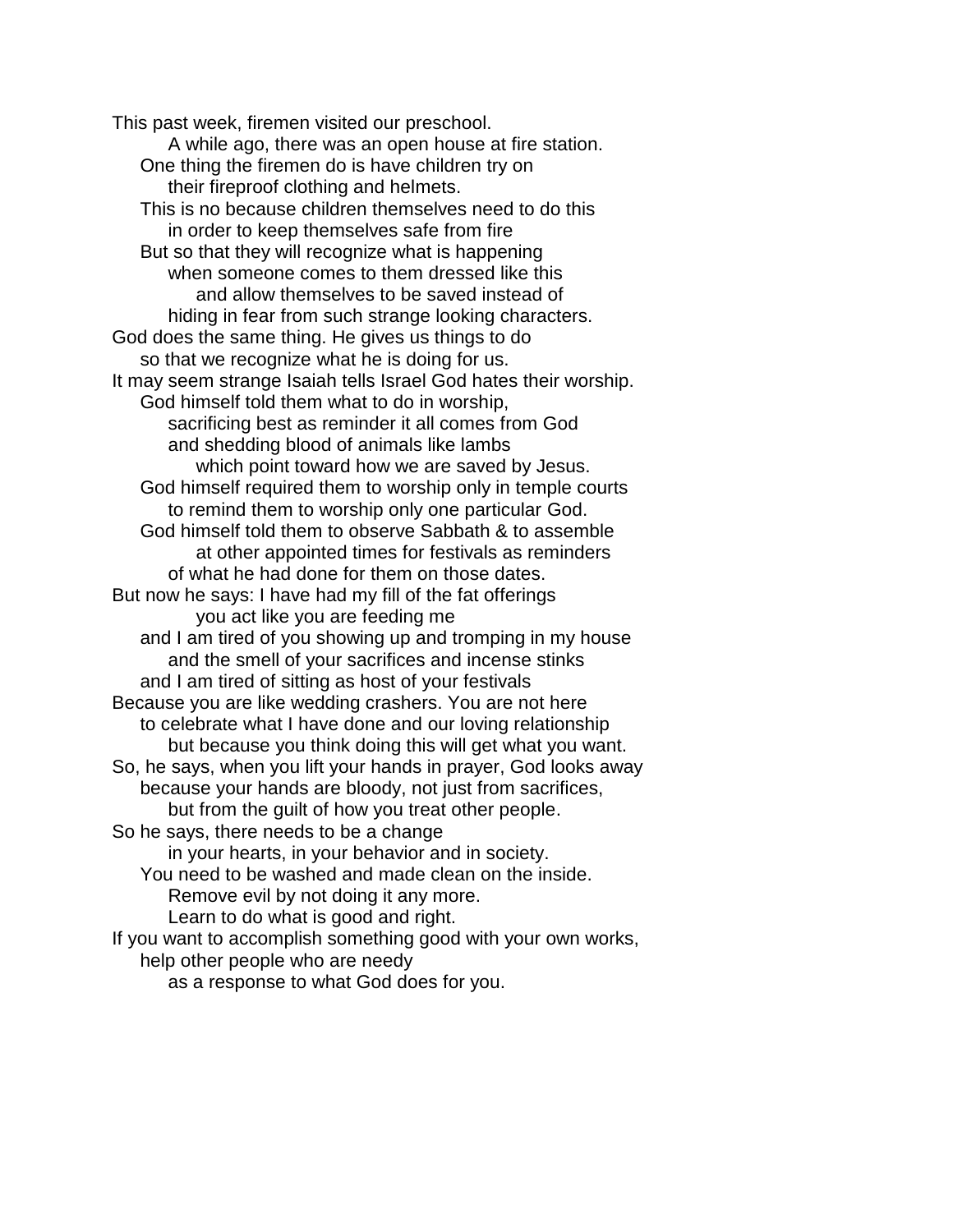This past week, firemen visited our preschool. A while ago, there was an open house at fire station. One thing the firemen do is have children try on their fireproof clothing and helmets. This is no because children themselves need to do this in order to keep themselves safe from fire But so that they will recognize what is happening when someone comes to them dressed like this and allow themselves to be saved instead of hiding in fear from such strange looking characters. God does the same thing. He gives us things to do so that we recognize what he is doing for us. It may seem strange Isaiah tells Israel God hates their worship. God himself told them what to do in worship, sacrificing best as reminder it all comes from God and shedding blood of animals like lambs which point toward how we are saved by Jesus. God himself required them to worship only in temple courts to remind them to worship only one particular God. God himself told them to observe Sabbath & to assemble at other appointed times for festivals as reminders of what he had done for them on those dates. But now he says: I have had my fill of the fat offerings you act like you are feeding me and I am tired of you showing up and tromping in my house and the smell of your sacrifices and incense stinks and I am tired of sitting as host of your festivals Because you are like wedding crashers. You are not here to celebrate what I have done and our loving relationship but because you think doing this will get what you want. So, he says, when you lift your hands in prayer, God looks away because your hands are bloody, not just from sacrifices, but from the guilt of how you treat other people. So he says, there needs to be a change in your hearts, in your behavior and in society. You need to be washed and made clean on the inside. Remove evil by not doing it any more. Learn to do what is good and right. If you want to accomplish something good with your own works, help other people who are needy

as a response to what God does for you.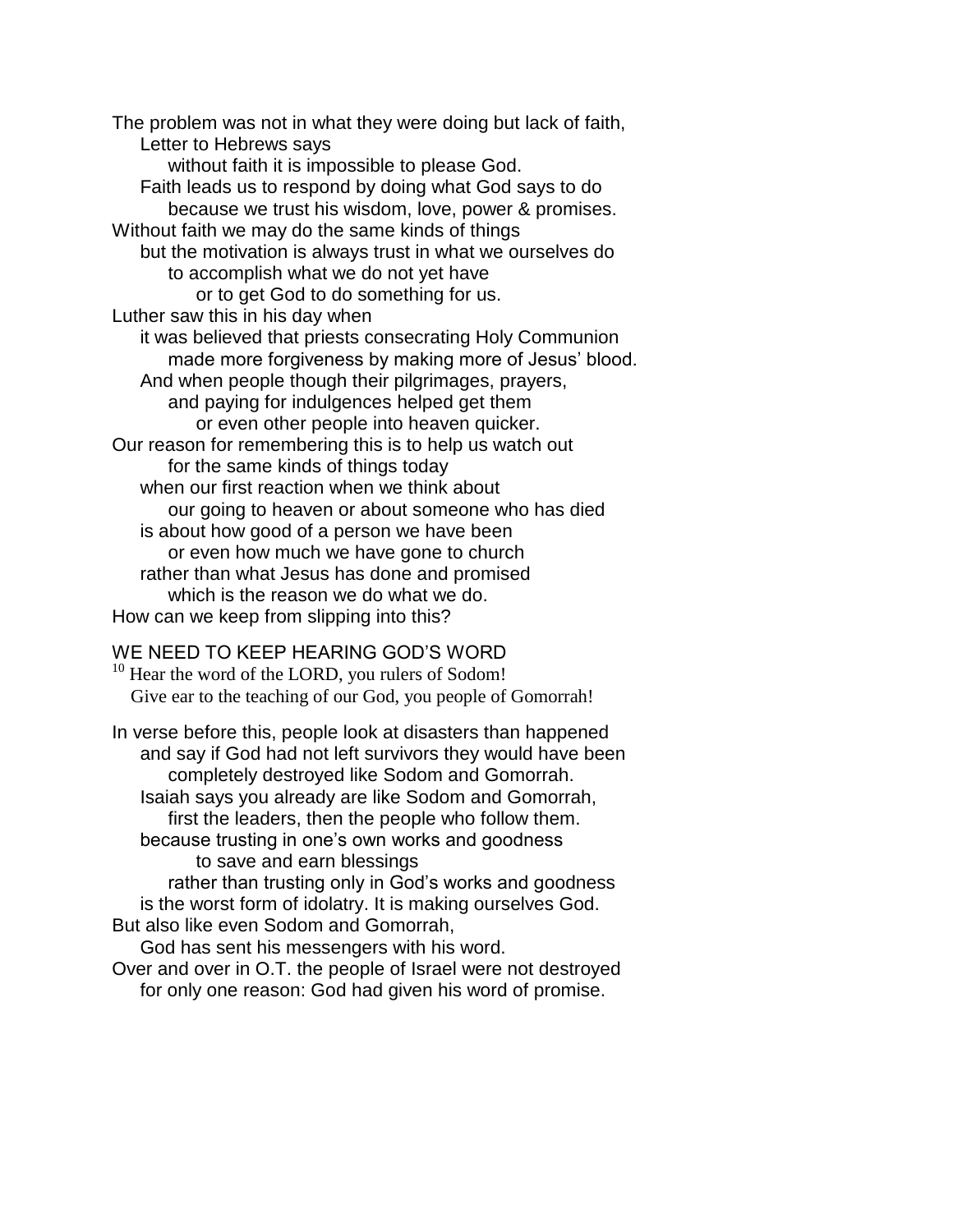The problem was not in what they were doing but lack of faith, Letter to Hebrews says without faith it is impossible to please God. Faith leads us to respond by doing what God says to do because we trust his wisdom, love, power & promises. Without faith we may do the same kinds of things but the motivation is always trust in what we ourselves do to accomplish what we do not yet have or to get God to do something for us. Luther saw this in his day when it was believed that priests consecrating Holy Communion made more forgiveness by making more of Jesus' blood. And when people though their pilgrimages, prayers, and paying for indulgences helped get them or even other people into heaven quicker. Our reason for remembering this is to help us watch out for the same kinds of things today when our first reaction when we think about our going to heaven or about someone who has died is about how good of a person we have been or even how much we have gone to church rather than what Jesus has done and promised which is the reason we do what we do. How can we keep from slipping into this?

### WE NEED TO KEEP HEARING GOD'S WORD

<sup>10</sup> Hear the word of the LORD, you rulers of Sodom! Give ear to the teaching of our God, you people of Gomorrah!

In verse before this, people look at disasters than happened and say if God had not left survivors they would have been completely destroyed like Sodom and Gomorrah. Isaiah says you already are like Sodom and Gomorrah, first the leaders, then the people who follow them. because trusting in one's own works and goodness to save and earn blessings rather than trusting only in God's works and goodness is the worst form of idolatry. It is making ourselves God. But also like even Sodom and Gomorrah, God has sent his messengers with his word.

Over and over in O.T. the people of Israel were not destroyed for only one reason: God had given his word of promise.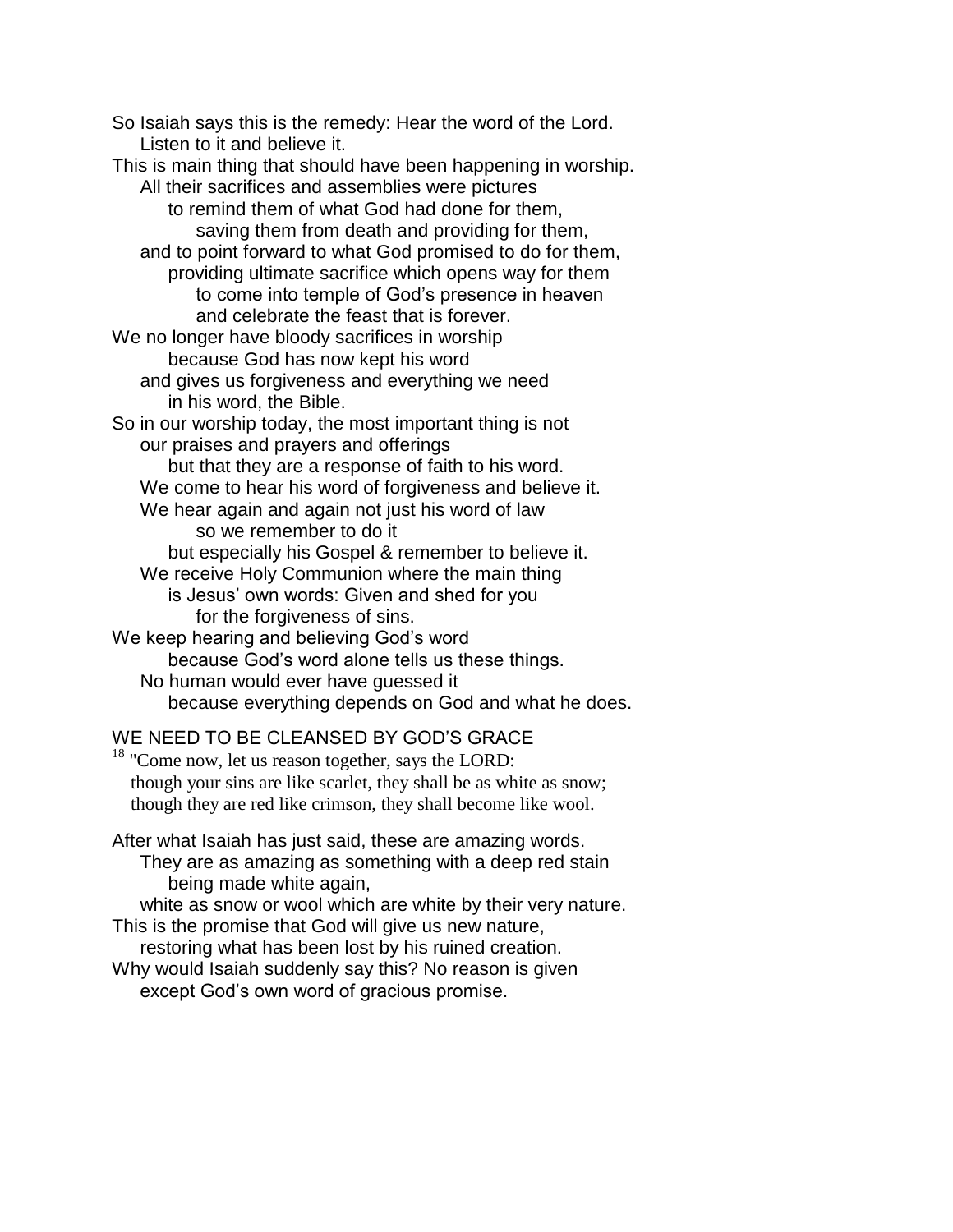So Isaiah says this is the remedy: Hear the word of the Lord. Listen to it and believe it. This is main thing that should have been happening in worship. All their sacrifices and assemblies were pictures to remind them of what God had done for them, saving them from death and providing for them, and to point forward to what God promised to do for them, providing ultimate sacrifice which opens way for them to come into temple of God's presence in heaven and celebrate the feast that is forever. We no longer have bloody sacrifices in worship because God has now kept his word and gives us forgiveness and everything we need in his word, the Bible. So in our worship today, the most important thing is not our praises and prayers and offerings but that they are a response of faith to his word. We come to hear his word of forgiveness and believe it. We hear again and again not just his word of law so we remember to do it but especially his Gospel & remember to believe it. We receive Holy Communion where the main thing is Jesus' own words: Given and shed for you for the forgiveness of sins. We keep hearing and believing God's word because God's word alone tells us these things. No human would ever have guessed it because everything depends on God and what he does.

# WE NEED TO BE CLEANSED BY GOD'S GRACE

<sup>18</sup> "Come now, let us reason together, says the LORD: though your sins are like scarlet, they shall be as white as snow; though they are red like crimson, they shall become like wool.

After what Isaiah has just said, these are amazing words. They are as amazing as something with a deep red stain being made white again,

white as snow or wool which are white by their very nature. This is the promise that God will give us new nature,

restoring what has been lost by his ruined creation. Why would Isaiah suddenly say this? No reason is given except God's own word of gracious promise.